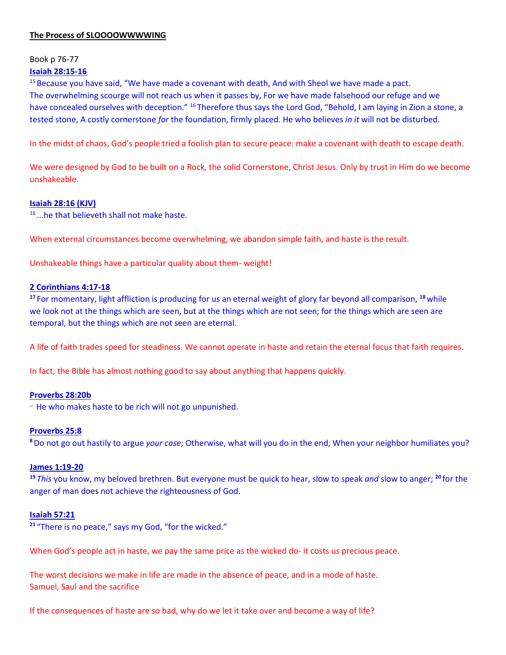# **The Process of SLOOOOWWWWING**

Book p 76-77

# **Isaiah 28:15-16**

<sup>15</sup> Because you have said, "We have made a covenant with death, And with Sheol we have made a pact. The overwhelming scourge will not reach us when it passes by, For we have made falsehood our refuge and we have concealed ourselves with deception." <sup>16</sup> Therefore thus says the Lord God, "Behold, I am laying in Zion a stone, a tested stone, A costly cornerstone *for* the foundation, firmly placed. He who believes *in it* will not be disturbed.

In the midst of chaos, God's people tried a foolish plan to secure peace: make a covenant with death to escape death.

We were designed by God to be built on a Rock, the solid Cornerstone, Christ Jesus. Only by trust in Him do we become unshakeable.

# **Isaiah 28:16 (KJV)**

16 ...he that believeth shall not make haste.

When external circumstances become overwhelming, we abandon simple faith, and haste is the result.

Unshakeable things have a particular quality about them- weight!

## **2 Corinthians 4:17-18**

**<sup>17</sup>** For momentary, light affliction is producing for us an eternal weight of glory far beyond all comparison, **<sup>18</sup>**while we look not at the things which are seen, but at the things which are not seen; for the things which are seen are temporal, but the things which are not seen are eternal.

A life of faith trades speed for steadiness. We cannot operate in haste and retain the eternal focus that faith requires.

In fact, the Bible has almost nothing good to say about anything that happens quickly.

#### **Proverbs 28:20b**

**..** He who makes haste to be rich will not go unpunished.

# **Proverbs 25:8**

**<sup>8</sup>**Do not go out hastily to argue *your case*; Otherwise, what will you do in the end, When your neighbor humiliates you?

#### **James 1:19-20**

**<sup>19</sup>** *This* you know, my beloved brethren. But everyone must be quick to hear, slow to speak *and* slow to anger; **<sup>20</sup>** for the anger of man does not achieve the righteousness of God.

#### **Isaiah 57:21**

**<sup>21</sup>** "There is no peace," says my God, "for the wicked."

When God's people act in haste, we pay the same price as the wicked do- it costs us precious peace.

The worst decisions we make in life are made in the absence of peace, and in a mode of haste. Samuel, Saul and the sacrifice

If the consequences of haste are so bad, why do we let it take over and become a way of life?